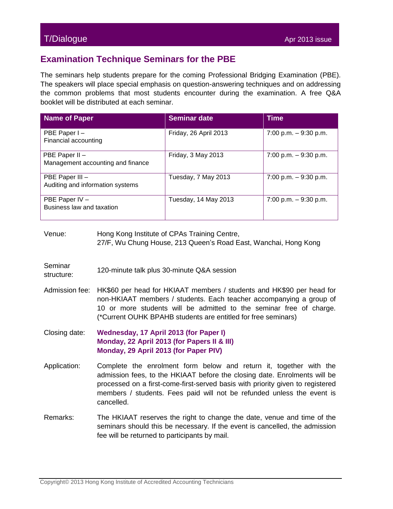## T/Dialogue Apr 2013 issue Apr 2013 issue Apr 2013 issue Apr 2013 issue Apr 2013 issue

## **Examination Technique Seminars for the PBE**

The seminars help students prepare for the coming Professional Bridging Examination (PBE). The speakers will place special emphasis on question-answering techniques and on addressing the common problems that most students encounter during the examination. A free Q&A booklet will be distributed at each seminar.

| Name of Paper                                       | <b>Seminar date</b>   | <b>Time</b>            |
|-----------------------------------------------------|-----------------------|------------------------|
| PBE Paper I-<br>Financial accounting                | Friday, 26 April 2013 | 7:00 p.m. $-9:30$ p.m. |
| PBE Paper II -<br>Management accounting and finance | Friday, 3 May 2013    | 7:00 p.m. $-9:30$ p.m. |
| PBE Paper III -<br>Auditing and information systems | Tuesday, 7 May 2013   | 7:00 p.m. $-9:30$ p.m. |
| PBE Paper IV -<br>Business law and taxation         | Tuesday, 14 May 2013  | 7:00 p.m. $-9:30$ p.m. |

Venue: Hong Kong Institute of CPAs Training Centre, 27/F, Wu Chung House, 213 Queen's Road East, Wanchai, Hong Kong

- **Seminar** structure: 120-minute talk plus 30-minute Q&A session<br>structure:
- Admission fee: HK\$60 per head for HKIAAT members / students and HK\$90 per head for non-HKIAAT members / students. Each teacher accompanying a group of 10 or more students will be admitted to the seminar free of charge. (\*Current OUHK BPAHB students are entitled for free seminars)
- Closing date: **Wednesday, 17 April 2013 (for Paper I) Monday, 22 April 2013 (for Papers II & III) Monday, 29 April 2013 (for Paper PIV)**
- Application: Complete the enrolment form below and return it, together with the admission fees, to the HKIAAT before the closing date. Enrolments will be processed on a first-come-first-served basis with priority given to registered members / students. Fees paid will not be refunded unless the event is cancelled.
- Remarks: The HKIAAT reserves the right to change the date, venue and time of the seminars should this be necessary. If the event is cancelled, the admission fee will be returned to participants by mail.